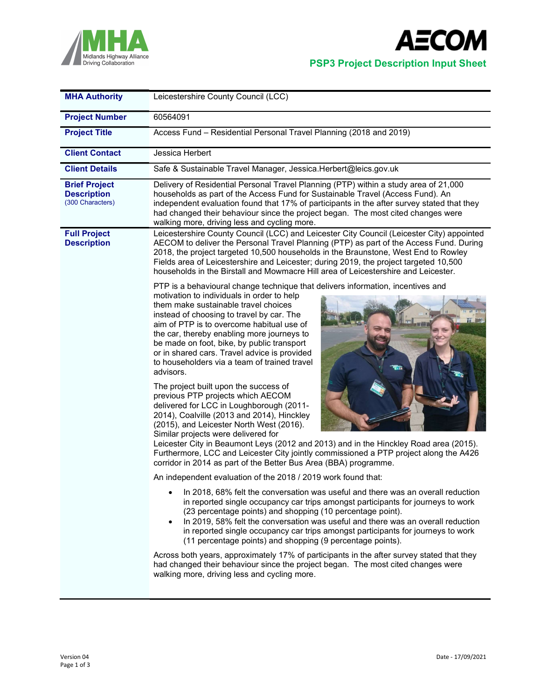



| <b>MHA Authority</b>                                           | Leicestershire County Council (LCC)                                                                                                                                                                                                                                                                                                                                                                                                                                                                                                                                                                                                                                                                                                 |  |  |  |  |
|----------------------------------------------------------------|-------------------------------------------------------------------------------------------------------------------------------------------------------------------------------------------------------------------------------------------------------------------------------------------------------------------------------------------------------------------------------------------------------------------------------------------------------------------------------------------------------------------------------------------------------------------------------------------------------------------------------------------------------------------------------------------------------------------------------------|--|--|--|--|
| <b>Project Number</b>                                          | 60564091                                                                                                                                                                                                                                                                                                                                                                                                                                                                                                                                                                                                                                                                                                                            |  |  |  |  |
| <b>Project Title</b>                                           | Access Fund - Residential Personal Travel Planning (2018 and 2019)                                                                                                                                                                                                                                                                                                                                                                                                                                                                                                                                                                                                                                                                  |  |  |  |  |
| <b>Client Contact</b>                                          | Jessica Herbert                                                                                                                                                                                                                                                                                                                                                                                                                                                                                                                                                                                                                                                                                                                     |  |  |  |  |
| <b>Client Details</b>                                          | Safe & Sustainable Travel Manager, Jessica.Herbert@leics.gov.uk                                                                                                                                                                                                                                                                                                                                                                                                                                                                                                                                                                                                                                                                     |  |  |  |  |
| <b>Brief Project</b><br><b>Description</b><br>(300 Characters) | Delivery of Residential Personal Travel Planning (PTP) within a study area of 21,000<br>households as part of the Access Fund for Sustainable Travel (Access Fund). An<br>independent evaluation found that 17% of participants in the after survey stated that they<br>had changed their behaviour since the project began. The most cited changes were<br>walking more, driving less and cycling more.                                                                                                                                                                                                                                                                                                                            |  |  |  |  |
| <b>Full Project</b><br><b>Description</b>                      | Leicestershire County Council (LCC) and Leicester City Council (Leicester City) appointed<br>AECOM to deliver the Personal Travel Planning (PTP) as part of the Access Fund. During<br>2018, the project targeted 10,500 households in the Braunstone, West End to Rowley<br>Fields area of Leicestershire and Leicester; during 2019, the project targeted 10,500<br>households in the Birstall and Mowmacre Hill area of Leicestershire and Leicester.                                                                                                                                                                                                                                                                            |  |  |  |  |
|                                                                | PTP is a behavioural change technique that delivers information, incentives and<br>motivation to individuals in order to help<br>them make sustainable travel choices<br>instead of choosing to travel by car. The<br>aim of PTP is to overcome habitual use of<br>the car, thereby enabling more journeys to<br>be made on foot, bike, by public transport<br>or in shared cars. Travel advice is provided<br>to householders via a team of trained travel<br>advisors.<br>The project built upon the success of<br>previous PTP projects which AECOM<br>delivered for LCC in Loughborough (2011-<br>2014), Coalville (2013 and 2014), Hinckley<br>(2015), and Leicester North West (2016).<br>Similar projects were delivered for |  |  |  |  |
|                                                                | Leicester City in Beaumont Leys (2012 and 2013) and in the Hinckley Road area (2015).<br>Furthermore, LCC and Leicester City jointly commissioned a PTP project along the A426<br>corridor in 2014 as part of the Better Bus Area (BBA) programme.                                                                                                                                                                                                                                                                                                                                                                                                                                                                                  |  |  |  |  |
|                                                                | An independent evaluation of the 2018 / 2019 work found that:                                                                                                                                                                                                                                                                                                                                                                                                                                                                                                                                                                                                                                                                       |  |  |  |  |
|                                                                | In 2018, 68% felt the conversation was useful and there was an overall reduction<br>in reported single occupancy car trips amongst participants for journeys to work<br>(23 percentage points) and shopping (10 percentage point).<br>In 2019, 58% felt the conversation was useful and there was an overall reduction<br>$\bullet$<br>in reported single occupancy car trips amongst participants for journeys to work<br>(11 percentage points) and shopping (9 percentage points).                                                                                                                                                                                                                                               |  |  |  |  |
|                                                                | Across both years, approximately 17% of participants in the after survey stated that they<br>had changed their behaviour since the project began. The most cited changes were<br>walking more, driving less and cycling more.                                                                                                                                                                                                                                                                                                                                                                                                                                                                                                       |  |  |  |  |
|                                                                |                                                                                                                                                                                                                                                                                                                                                                                                                                                                                                                                                                                                                                                                                                                                     |  |  |  |  |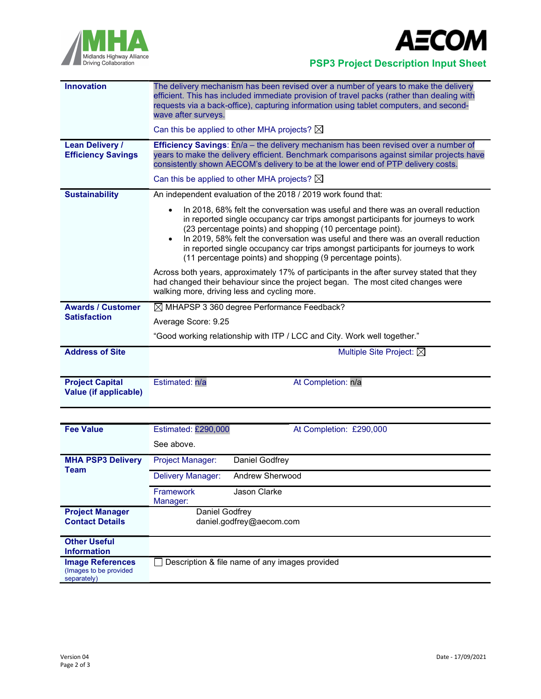



Midlands Highway Alliance<br>Driving Collaboration<br>Driving Collaboration

| <b>Innovation</b>                                   | The delivery mechanism has been revised over a number of years to make the delivery<br>efficient. This has included immediate provision of travel packs (rather than dealing with<br>requests via a back-office), capturing information using tablet computers, and second-<br>wave after surveys.                                                                                                                                                                                                 |  |  |  |
|-----------------------------------------------------|----------------------------------------------------------------------------------------------------------------------------------------------------------------------------------------------------------------------------------------------------------------------------------------------------------------------------------------------------------------------------------------------------------------------------------------------------------------------------------------------------|--|--|--|
|                                                     | Can this be applied to other MHA projects? $\boxtimes$                                                                                                                                                                                                                                                                                                                                                                                                                                             |  |  |  |
| <b>Lean Delivery /</b><br><b>Efficiency Savings</b> | <b>Efficiency Savings:</b> £n/a – the delivery mechanism has been revised over a number of<br>years to make the delivery efficient. Benchmark comparisons against similar projects have<br>consistently shown AECOM's delivery to be at the lower end of PTP delivery costs.                                                                                                                                                                                                                       |  |  |  |
|                                                     | Can this be applied to other MHA projects? $\boxtimes$                                                                                                                                                                                                                                                                                                                                                                                                                                             |  |  |  |
| <b>Sustainability</b>                               | An independent evaluation of the 2018 / 2019 work found that:                                                                                                                                                                                                                                                                                                                                                                                                                                      |  |  |  |
|                                                     | In 2018, 68% felt the conversation was useful and there was an overall reduction<br>$\bullet$<br>in reported single occupancy car trips amongst participants for journeys to work<br>(23 percentage points) and shopping (10 percentage point).<br>In 2019, 58% felt the conversation was useful and there was an overall reduction<br>$\bullet$<br>in reported single occupancy car trips amongst participants for journeys to work<br>(11 percentage points) and shopping (9 percentage points). |  |  |  |
|                                                     | Across both years, approximately 17% of participants in the after survey stated that they<br>had changed their behaviour since the project began. The most cited changes were<br>walking more, driving less and cycling more.                                                                                                                                                                                                                                                                      |  |  |  |
| <b>Awards / Customer</b>                            | $\boxtimes$ MHAPSP 3 360 degree Performance Feedback?                                                                                                                                                                                                                                                                                                                                                                                                                                              |  |  |  |
| <b>Satisfaction</b>                                 | Average Score: 9.25                                                                                                                                                                                                                                                                                                                                                                                                                                                                                |  |  |  |
|                                                     | "Good working relationship with ITP / LCC and City. Work well together."                                                                                                                                                                                                                                                                                                                                                                                                                           |  |  |  |
| <b>Address of Site</b>                              | Multiple Site Project: $\boxtimes$                                                                                                                                                                                                                                                                                                                                                                                                                                                                 |  |  |  |
| <b>Project Capital</b><br>Value (if applicable)     | Estimated: n/a<br>At Completion: n/a                                                                                                                                                                                                                                                                                                                                                                                                                                                               |  |  |  |

| <b>Fee Value</b>                                                  | Estimated: £290,000<br>At Completion: £290,000 |  |
|-------------------------------------------------------------------|------------------------------------------------|--|
|                                                                   | See above.                                     |  |
| <b>MHA PSP3 Delivery</b><br><b>Team</b>                           | Daniel Godfrey<br><b>Project Manager:</b>      |  |
|                                                                   | Andrew Sherwood<br>Delivery Manager:           |  |
|                                                                   | Jason Clarke<br>Framework<br>Manager:          |  |
| <b>Project Manager</b><br><b>Contact Details</b>                  | Daniel Godfrey<br>daniel.godfrey@aecom.com     |  |
| <b>Other Useful</b><br><b>Information</b>                         |                                                |  |
| <b>Image References</b><br>(Images to be provided)<br>separately) | Description & file name of any images provided |  |